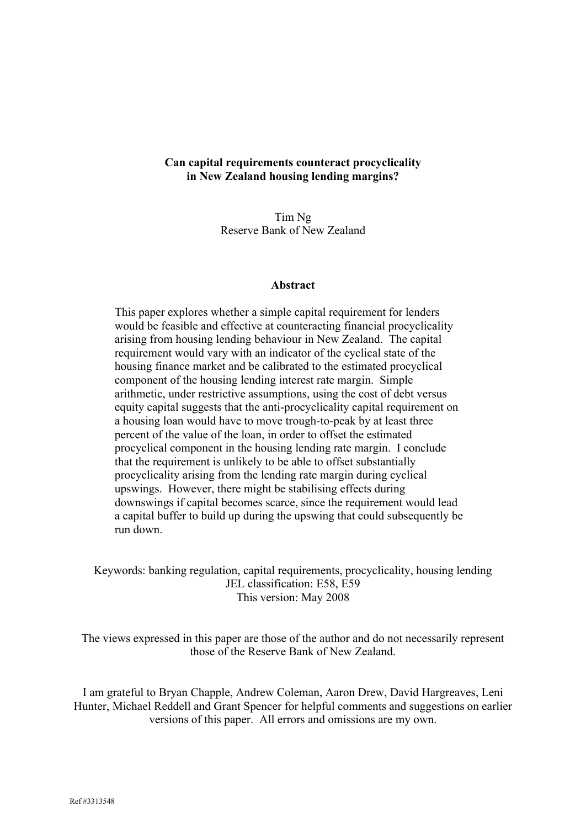### **Can capital requirements counteract procyclicality in New Zealand housing lending margins?**

Tim Ng Reserve Bank of New Zealand

#### **Abstract**

This paper explores whether a simple capital requirement for lenders would be feasible and effective at counteracting financial procyclicality arising from housing lending behaviour in New Zealand. The capital requirement would vary with an indicator of the cyclical state of the housing finance market and be calibrated to the estimated procyclical component of the housing lending interest rate margin. Simple arithmetic, under restrictive assumptions, using the cost of debt versus equity capital suggests that the anti-procyclicality capital requirement on a housing loan would have to move trough-to-peak by at least three percent of the value of the loan, in order to offset the estimated procyclical component in the housing lending rate margin. I conclude that the requirement is unlikely to be able to offset substantially procyclicality arising from the lending rate margin during cyclical upswings. However, there might be stabilising effects during downswings if capital becomes scarce, since the requirement would lead a capital buffer to build up during the upswing that could subsequently be run down.

Keywords: banking regulation, capital requirements, procyclicality, housing lending JEL classification: E58, E59 This version: May 2008

The views expressed in this paper are those of the author and do not necessarily represent those of the Reserve Bank of New Zealand.

I am grateful to Bryan Chapple, Andrew Coleman, Aaron Drew, David Hargreaves, Leni Hunter, Michael Reddell and Grant Spencer for helpful comments and suggestions on earlier versions of this paper. All errors and omissions are my own.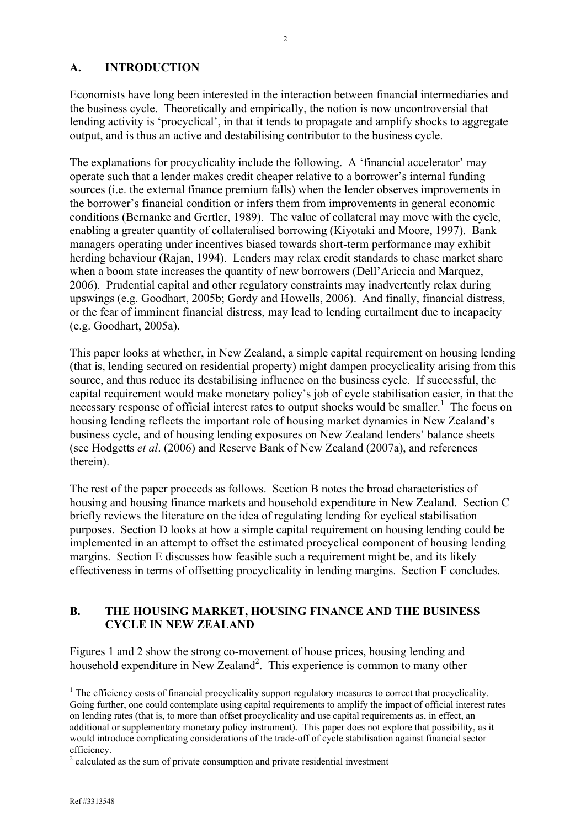# **A. INTRODUCTION**

Economists have long been interested in the interaction between financial intermediaries and the business cycle. Theoretically and empirically, the notion is now uncontroversial that lending activity is 'procyclical', in that it tends to propagate and amplify shocks to aggregate output, and is thus an active and destabilising contributor to the business cycle.

The explanations for procyclicality include the following. A 'financial accelerator' may operate such that a lender makes credit cheaper relative to a borrower's internal funding sources (i.e. the external finance premium falls) when the lender observes improvements in the borrower's financial condition or infers them from improvements in general economic conditions (Bernanke and Gertler, 1989). The value of collateral may move with the cycle, enabling a greater quantity of collateralised borrowing (Kiyotaki and Moore, 1997). Bank managers operating under incentives biased towards short-term performance may exhibit herding behaviour (Rajan, 1994). Lenders may relax credit standards to chase market share when a boom state increases the quantity of new borrowers (Dell'Ariccia and Marquez, 2006). Prudential capital and other regulatory constraints may inadvertently relax during upswings (e.g. Goodhart, 2005b; Gordy and Howells, 2006). And finally, financial distress, or the fear of imminent financial distress, may lead to lending curtailment due to incapacity (e.g. Goodhart, 2005a).

This paper looks at whether, in New Zealand, a simple capital requirement on housing lending (that is, lending secured on residential property) might dampen procyclicality arising from this source, and thus reduce its destabilising influence on the business cycle. If successful, the capital requirement would make monetary policy's job of cycle stabilisation easier, in that the necessary response of official interest rates to output shocks would be smaller.<sup>1</sup> The focus on housing lending reflects the important role of housing market dynamics in New Zealand's business cycle, and of housing lending exposures on New Zealand lenders' balance sheets (see Hodgetts *et al*. (2006) and Reserve Bank of New Zealand (2007a), and references therein).

The rest of the paper proceeds as follows. Section B notes the broad characteristics of housing and housing finance markets and household expenditure in New Zealand. Section C briefly reviews the literature on the idea of regulating lending for cyclical stabilisation purposes. Section D looks at how a simple capital requirement on housing lending could be implemented in an attempt to offset the estimated procyclical component of housing lending margins. Section E discusses how feasible such a requirement might be, and its likely effectiveness in terms of offsetting procyclicality in lending margins. Section F concludes.

# **B. THE HOUSING MARKET, HOUSING FINANCE AND THE BUSINESS CYCLE IN NEW ZEALAND**

Figures 1 and 2 show the strong co-movement of house prices, housing lending and household expenditure in New Zealand<sup>2</sup>. This experience is common to many other

<sup>&</sup>lt;sup>1</sup> The efficiency costs of financial procyclicality support regulatory measures to correct that procyclicality. Going further, one could contemplate using capital requirements to amplify the impact of official interest rates on lending rates (that is, to more than offset procyclicality and use capital requirements as, in effect, an additional or supplementary monetary policy instrument). This paper does not explore that possibility, as it would introduce complicating considerations of the trade-off of cycle stabilisation against financial sector efficiency.

 $2<sup>2</sup>$  calculated as the sum of private consumption and private residential investment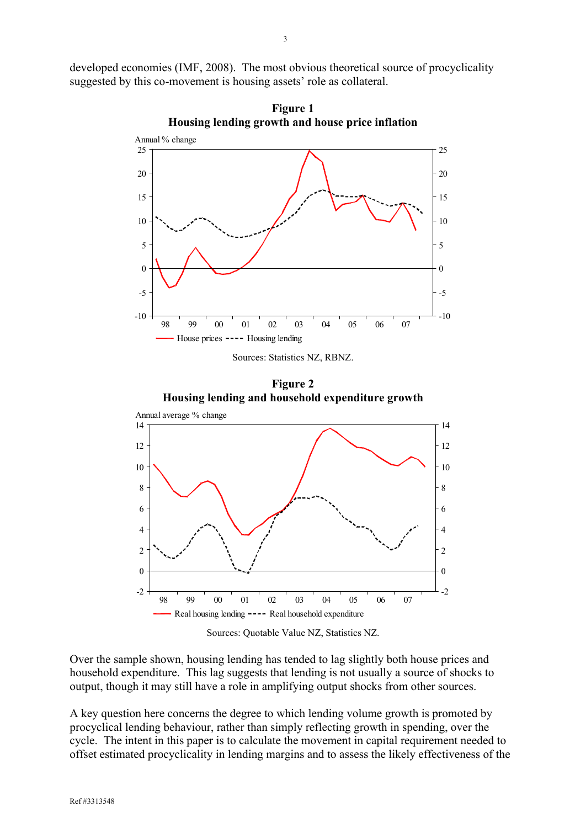developed economies (IMF, 2008). The most obvious theoretical source of procyclicality suggested by this co-movement is housing assets' role as collateral.



**Figure 1**

Sources: Statistics NZ, RBNZ.

**Figure 2 Housing lending and household expenditure growth**



Sources: Quotable Value NZ, Statistics NZ.

Over the sample shown, housing lending has tended to lag slightly both house prices and household expenditure. This lag suggests that lending is not usually a source of shocks to output, though it may still have a role in amplifying output shocks from other sources.

A key question here concerns the degree to which lending volume growth is promoted by procyclical lending behaviour, rather than simply reflecting growth in spending, over the cycle. The intent in this paper is to calculate the movement in capital requirement needed to offset estimated procyclicality in lending margins and to assess the likely effectiveness of the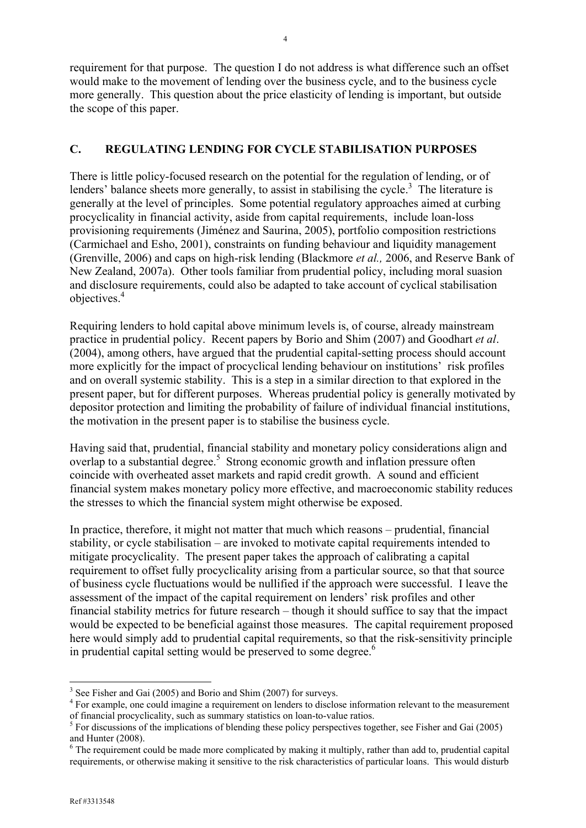requirement for that purpose. The question I do not address is what difference such an offset would make to the movement of lending over the business cycle, and to the business cycle more generally. This question about the price elasticity of lending is important, but outside the scope of this paper.

# **C. REGULATING LENDING FOR CYCLE STABILISATION PURPOSES**

There is little policy-focused research on the potential for the regulation of lending, or of lenders' balance sheets more generally, to assist in stabilising the cycle.<sup>3</sup> The literature is generally at the level of principles. Some potential regulatory approaches aimed at curbing procyclicality in financial activity, aside from capital requirements, include loan-loss provisioning requirements (Jiménez and Saurina, 2005), portfolio composition restrictions (Carmichael and Esho, 2001), constraints on funding behaviour and liquidity management (Grenville, 2006) and caps on high-risk lending (Blackmore *et al.,* 2006, and Reserve Bank of New Zealand, 2007a). Other tools familiar from prudential policy, including moral suasion and disclosure requirements, could also be adapted to take account of cyclical stabilisation objectives. 4

Requiring lenders to hold capital above minimum levels is, of course, already mainstream practice in prudential policy. Recent papers by Borio and Shim (2007) and Goodhart *et al*. (2004), among others, have argued that the prudential capital-setting process should account more explicitly for the impact of procyclical lending behaviour on institutions' risk profiles and on overall systemic stability.This is a step in a similar direction to that explored in the present paper, but for different purposes. Whereas prudential policy is generally motivated by depositor protection and limiting the probability of failure of individual financial institutions, the motivation in the present paper is to stabilise the business cycle.

Having said that, prudential, financial stability and monetary policy considerations align and overlap to a substantial degree.<sup>5</sup> Strong economic growth and inflation pressure often coincide with overheated asset markets and rapid credit growth. A sound and efficient financial system makes monetary policy more effective, and macroeconomic stability reduces the stresses to which the financial system might otherwise be exposed.

In practice, therefore, it might not matter that much which reasons – prudential, financial stability, or cycle stabilisation – are invoked to motivate capital requirements intended to mitigate procyclicality. The present paper takes the approach of calibrating a capital requirement to offset fully procyclicality arising from a particular source, so that that source of business cycle fluctuations would be nullified if the approach were successful. I leave the assessment of the impact of the capital requirement on lenders' risk profiles and other financial stability metrics for future research – though it should suffice to say that the impact would be expected to be beneficial against those measures. The capital requirement proposed here would simply add to prudential capital requirements, so that the risk-sensitivity principle in prudential capital setting would be preserved to some degree.<sup>6</sup>

 $3$  See Fisher and Gai (2005) and Borio and Shim (2007) for surveys.

<sup>&</sup>lt;sup>4</sup> For example, one could imagine a requirement on lenders to disclose information relevant to the measurement of financial procyclicality, such as summary statistics on loan-to-value ratios.

 $<sup>5</sup>$  For discussions of the implications of blending these policy perspectives together, see Fisher and Gai (2005)</sup> and Hunter (2008).

<sup>&</sup>lt;sup>6</sup> The requirement could be made more complicated by making it multiply, rather than add to, prudential capital requirements, or otherwise making it sensitive to the risk characteristics of particular loans. This would disturb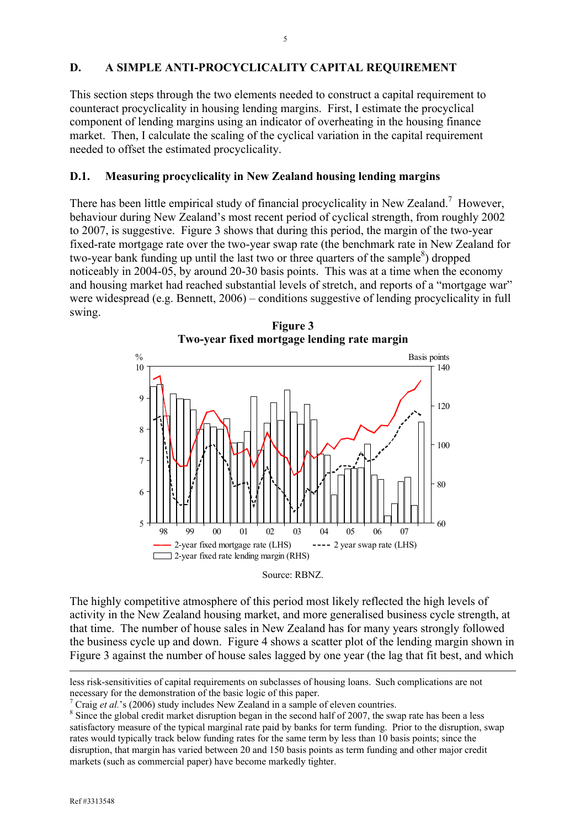### **D. A SIMPLE ANTI-PROCYCLICALITY CAPITAL REQUIREMENT**

This section steps through the two elements needed to construct a capital requirement to counteract procyclicality in housing lending margins. First, I estimate the procyclical component of lending margins using an indicator of overheating in the housing finance market. Then, I calculate the scaling of the cyclical variation in the capital requirement needed to offset the estimated procyclicality.

### **D.1. Measuring procyclicality in New Zealand housing lending margins**

There has been little empirical study of financial procyclicality in New Zealand.<sup>7</sup> However, behaviour during New Zealand's most recent period of cyclical strength, from roughly 2002 to 2007, is suggestive. Figure 3 shows that during this period, the margin of the two-year fixed-rate mortgage rate over the two-year swap rate (the benchmark rate in New Zealand for two-year bank funding up until the last two or three quarters of the sample $\delta$ ) dropped noticeably in 2004-05, by around 20-30 basis points. This was at a time when the economy and housing market had reached substantial levels of stretch, and reports of a "mortgage war" were widespread (e.g. Bennett, 2006) – conditions suggestive of lending procyclicality in full swing.





The highly competitive atmosphere of this period most likely reflected the high levels of activity in the New Zealand housing market, and more generalised business cycle strength, at that time. The number of house sales in New Zealand has for many years strongly followed the business cycle up and down. Figure 4 shows a scatter plot of the lending margin shown in Figure 3 against the number of house sales lagged by one year (the lag that fit best, and which

less risk-sensitivities of capital requirements on subclasses of housing loans. Such complications are not necessary for the demonstration of the basic logic of this paper.

<sup>&</sup>lt;sup>7</sup> Craig *et al.*'s (2006) study includes New Zealand in a sample of eleven countries.

<sup>&</sup>lt;sup>8</sup> Since the global credit market disruption began in the second half of 2007, the swap rate has been a less satisfactory measure of the typical marginal rate paid by banks for term funding. Prior to the disruption, swap rates would typically track below funding rates for the same term by less than 10 basis points; since the disruption, that margin has varied between 20 and 150 basis points as term funding and other major credit markets (such as commercial paper) have become markedly tighter.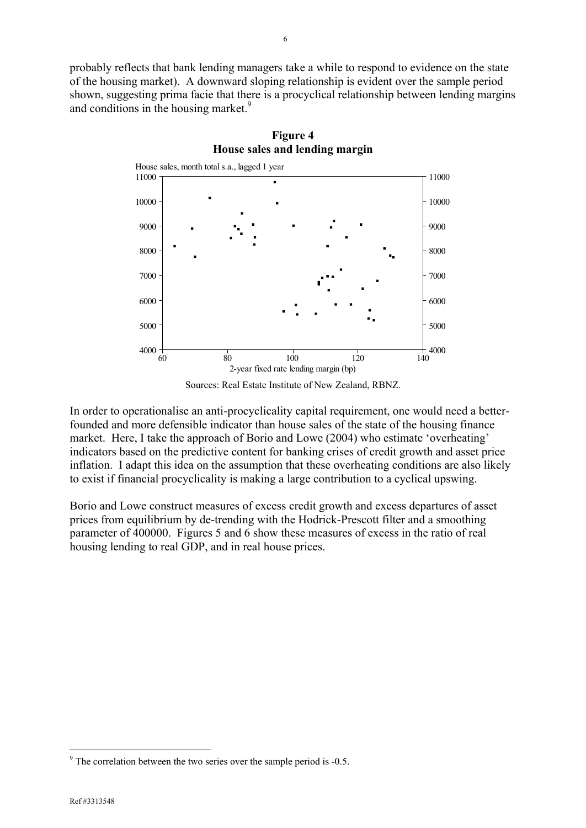probably reflects that bank lending managers take a while to respond to evidence on the state of the housing market). A downward sloping relationship is evident over the sample period shown, suggesting prima facie that there is a procyclical relationship between lending margins and conditions in the housing market.<sup>9</sup>





Sources: Real Estate Institute of New Zealand, RBNZ.

In order to operationalise an anti-procyclicality capital requirement, one would need a betterfounded and more defensible indicator than house sales of the state of the housing finance market. Here, I take the approach of Borio and Lowe (2004) who estimate 'overheating' indicators based on the predictive content for banking crises of credit growth and asset price inflation. I adapt this idea on the assumption that these overheating conditions are also likely to exist if financial procyclicality is making a large contribution to a cyclical upswing.

Borio and Lowe construct measures of excess credit growth and excess departures of asset prices from equilibrium by de-trending with the Hodrick-Prescott filter and a smoothing parameter of 400000. Figures 5 and 6 show these measures of excess in the ratio of real housing lending to real GDP, and in real house prices.

 $9^9$  The correlation between the two series over the sample period is  $-0.5$ .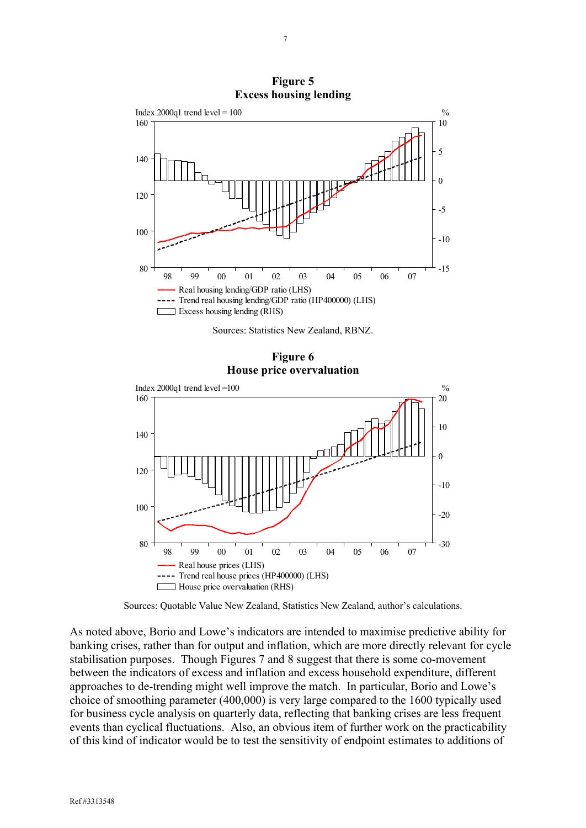

**Figure 5 Excess housing lending**

Sources: Statistics New Zealand, RBNZ.

**Figure 6 House price overvaluation**



Sources: Quotable Value New Zealand, Statistics New Zealand, author's calculations.

As noted above, Borio and Lowe's indicators are intended to maximise predictive ability for banking crises, rather than for output and inflation, which are more directly relevant for cycle stabilisation purposes. Though Figures 7 and 8 suggest that there is some co-movement between the indicators of excess and inflation and excess household expenditure, different approaches to de-trending might well improve the match. In particular, Borio and Lowe's choice of smoothing parameter (400,000) is very large compared to the 1600 typically used for business cycle analysis on quarterly data, reflecting that banking crises are less frequent events than cyclical fluctuations. Also, an obvious item of further work on the practicability of this kind of indicator would be to test the sensitivity of endpoint estimates to additions of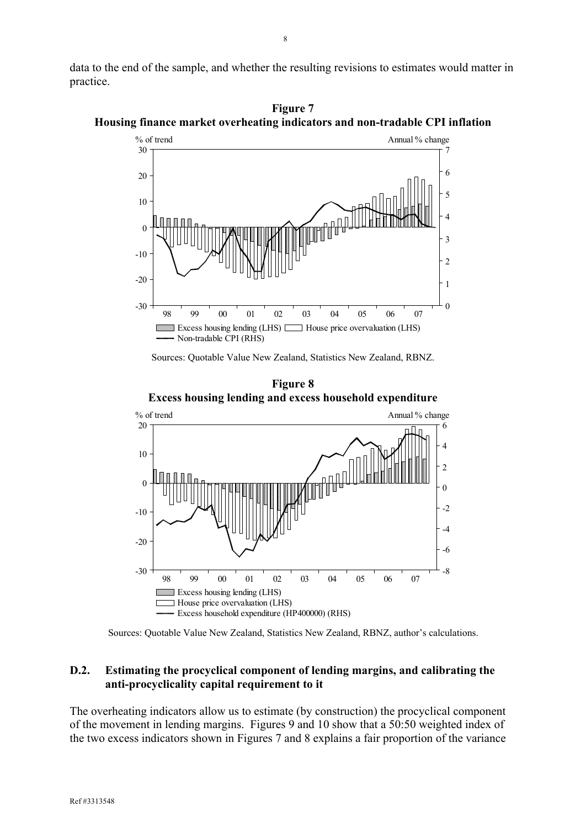data to the end of the sample, and whether the resulting revisions to estimates would matter in practice.

**Figure 7 Housing finance market overheating indicators and non-tradable CPI inflation**



Sources: Quotable Value New Zealand, Statistics New Zealand, RBNZ.

**Figure 8 Excess housing lending and excess household expenditure**



Sources: Quotable Value New Zealand, Statistics New Zealand, RBNZ, author's calculations.

# **D.2. Estimating the procyclical component of lending margins, and calibrating the anti-procyclicality capital requirement to it**

The overheating indicators allow us to estimate (by construction) the procyclical component of the movement in lending margins. Figures 9 and 10 show that a 50:50 weighted index of the two excess indicators shown in Figures 7 and 8 explains a fair proportion of the variance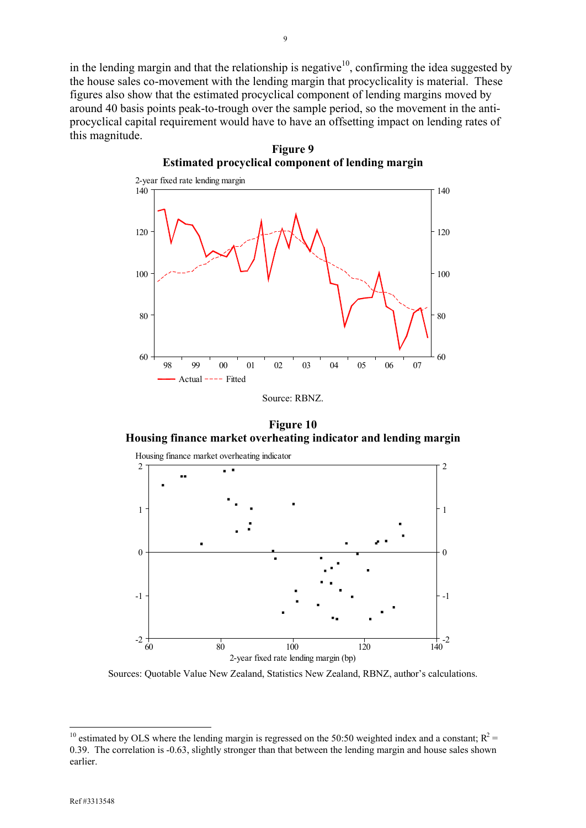in the lending margin and that the relationship is negative<sup>10</sup>, confirming the idea suggested by the house sales co-movement with the lending margin that procyclicality is material. These figures also show that the estimated procyclical component of lending margins moved by around 40 basis points peak-to-trough over the sample period, so the movement in the antiprocyclical capital requirement would have to have an offsetting impact on lending rates of this magnitude.



**Figure 10 Housing finance market overheating indicator and lending margin**



Sources: Quotable Value New Zealand, Statistics New Zealand, RBNZ, author's calculations.

<sup>&</sup>lt;sup>10</sup> estimated by OLS where the lending margin is regressed on the 50:50 weighted index and a constant;  $R^2 =$ 0.39. The correlation is -0.63, slightly stronger than that between the lending margin and house sales shown earlier.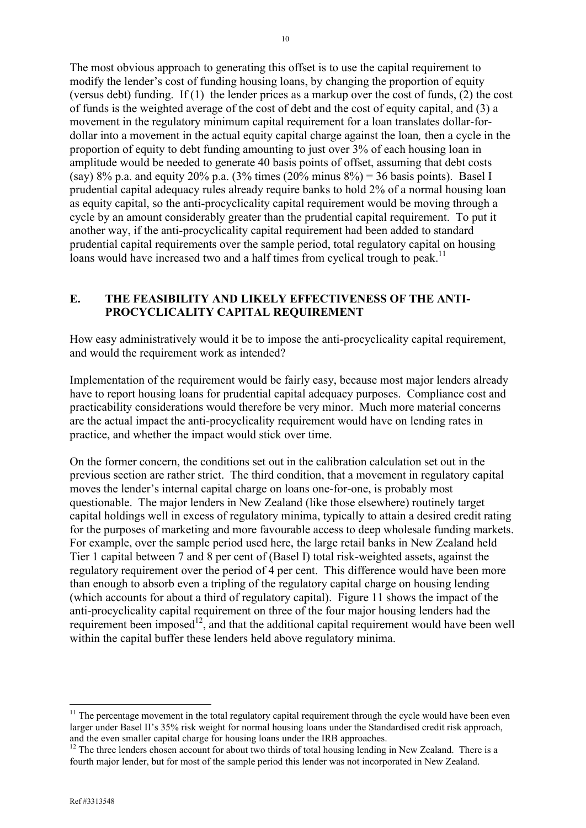The most obvious approach to generating this offset is to use the capital requirement to modify the lender's cost of funding housing loans, by changing the proportion of equity (versus debt) funding. If (1) the lender prices as a markup over the cost of funds, (2) the cost of funds is the weighted average of the cost of debt and the cost of equity capital, and (3) a movement in the regulatory minimum capital requirement for a loan translates dollar-fordollar into a movement in the actual equity capital charge against the loan*,* then a cycle in the proportion of equity to debt funding amounting to just over 3% of each housing loan in amplitude would be needed to generate 40 basis points of offset, assuming that debt costs (say)  $8\%$  p.a. and equity  $20\%$  p.a.  $(3\%$  times  $(20\%$  minus  $8\%) = 36$  basis points). Basel I prudential capital adequacy rules already require banks to hold 2% of a normal housing loan as equity capital, so the anti-procyclicality capital requirement would be moving through a cycle by an amount considerably greater than the prudential capital requirement. To put it another way, if the anti-procyclicality capital requirement had been added to standard prudential capital requirements over the sample period, total regulatory capital on housing loans would have increased two and a half times from cyclical trough to peak.<sup>11</sup>

# **E. THE FEASIBILITY AND LIKELY EFFECTIVENESS OF THE ANTI-PROCYCLICALITY CAPITAL REQUIREMENT**

How easy administratively would it be to impose the anti-procyclicality capital requirement, and would the requirement work as intended?

Implementation of the requirement would be fairly easy, because most major lenders already have to report housing loans for prudential capital adequacy purposes. Compliance cost and practicability considerations would therefore be very minor. Much more material concerns are the actual impact the anti-procyclicality requirement would have on lending rates in practice, and whether the impact would stick over time.

On the former concern, the conditions set out in the calibration calculation set out in the previous section are rather strict. The third condition, that a movement in regulatory capital moves the lender's internal capital charge on loans one-for-one, is probably most questionable. The major lenders in New Zealand (like those elsewhere) routinely target capital holdings well in excess of regulatory minima, typically to attain a desired credit rating for the purposes of marketing and more favourable access to deep wholesale funding markets. For example, over the sample period used here, the large retail banks in New Zealand held Tier 1 capital between 7 and 8 per cent of (Basel I) total risk-weighted assets, against the regulatory requirement over the period of 4 per cent. This difference would have been more than enough to absorb even a tripling of the regulatory capital charge on housing lending (which accounts for about a third of regulatory capital). Figure 11 shows the impact of the anti-procyclicality capital requirement on three of the four major housing lenders had the requirement been imposed<sup>12</sup>, and that the additional capital requirement would have been well within the capital buffer these lenders held above regulatory minima.

<sup>&</sup>lt;sup>11</sup> The percentage movement in the total regulatory capital requirement through the cycle would have been even larger under Basel II's 35% risk weight for normal housing loans under the Standardised credit risk approach, and the even smaller capital charge for housing loans under the IRB approaches.

<sup>&</sup>lt;sup>12</sup> The three lenders chosen account for about two thirds of total housing lending in New Zealand. There is a fourth major lender, but for most of the sample period this lender was not incorporated in New Zealand.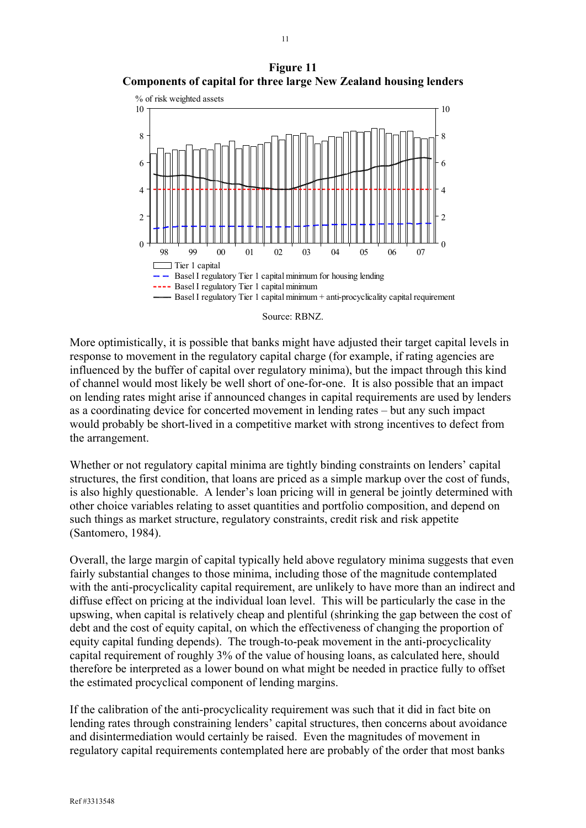**Figure 11 Components of capital for three large New Zealand housing lenders**



Source: RBNZ.

More optimistically, it is possible that banks might have adjusted their target capital levels in response to movement in the regulatory capital charge (for example, if rating agencies are influenced by the buffer of capital over regulatory minima), but the impact through this kind of channel would most likely be well short of one-for-one. It is also possible that an impact on lending rates might arise if announced changes in capital requirements are used by lenders as a coordinating device for concerted movement in lending rates – but any such impact would probably be short-lived in a competitive market with strong incentives to defect from the arrangement.

Whether or not regulatory capital minima are tightly binding constraints on lenders' capital structures, the first condition, that loans are priced as a simple markup over the cost of funds, is also highly questionable. A lender's loan pricing will in general be jointly determined with other choice variables relating to asset quantities and portfolio composition, and depend on such things as market structure, regulatory constraints, credit risk and risk appetite (Santomero, 1984).

Overall, the large margin of capital typically held above regulatory minima suggests that even fairly substantial changes to those minima, including those of the magnitude contemplated with the anti-procyclicality capital requirement, are unlikely to have more than an indirect and diffuse effect on pricing at the individual loan level. This will be particularly the case in the upswing, when capital is relatively cheap and plentiful (shrinking the gap between the cost of debt and the cost of equity capital, on which the effectiveness of changing the proportion of equity capital funding depends). The trough-to-peak movement in the anti-procyclicality capital requirement of roughly 3% of the value of housing loans, as calculated here, should therefore be interpreted as a lower bound on what might be needed in practice fully to offset the estimated procyclical component of lending margins.

If the calibration of the anti-procyclicality requirement was such that it did in fact bite on lending rates through constraining lenders' capital structures, then concerns about avoidance and disintermediation would certainly be raised. Even the magnitudes of movement in regulatory capital requirements contemplated here are probably of the order that most banks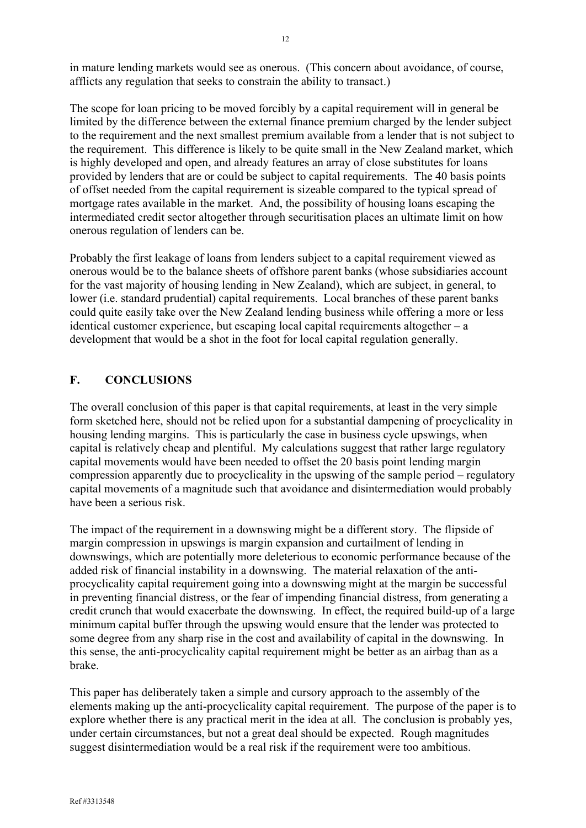in mature lending markets would see as onerous. (This concern about avoidance, of course, afflicts any regulation that seeks to constrain the ability to transact.)

The scope for loan pricing to be moved forcibly by a capital requirement will in general be limited by the difference between the external finance premium charged by the lender subject to the requirement and the next smallest premium available from a lender that is not subject to the requirement. This difference is likely to be quite small in the New Zealand market, which is highly developed and open, and already features an array of close substitutes for loans provided by lenders that are or could be subject to capital requirements. The 40 basis points of offset needed from the capital requirement is sizeable compared to the typical spread of mortgage rates available in the market. And, the possibility of housing loans escaping the intermediated credit sector altogether through securitisation places an ultimate limit on how onerous regulation of lenders can be.

Probably the first leakage of loans from lenders subject to a capital requirement viewed as onerous would be to the balance sheets of offshore parent banks (whose subsidiaries account for the vast majority of housing lending in New Zealand), which are subject, in general, to lower (i.e. standard prudential) capital requirements. Local branches of these parent banks could quite easily take over the New Zealand lending business while offering a more or less identical customer experience, but escaping local capital requirements altogether – a development that would be a shot in the foot for local capital regulation generally.

# **F. CONCLUSIONS**

The overall conclusion of this paper is that capital requirements, at least in the very simple form sketched here, should not be relied upon for a substantial dampening of procyclicality in housing lending margins. This is particularly the case in business cycle upswings, when capital is relatively cheap and plentiful. My calculations suggest that rather large regulatory capital movements would have been needed to offset the 20 basis point lending margin compression apparently due to procyclicality in the upswing of the sample period – regulatory capital movements of a magnitude such that avoidance and disintermediation would probably have been a serious risk.

The impact of the requirement in a downswing might be a different story. The flipside of margin compression in upswings is margin expansion and curtailment of lending in downswings, which are potentially more deleterious to economic performance because of the added risk of financial instability in a downswing. The material relaxation of the antiprocyclicality capital requirement going into a downswing might at the margin be successful in preventing financial distress, or the fear of impending financial distress, from generating a credit crunch that would exacerbate the downswing. In effect, the required build-up of a large minimum capital buffer through the upswing would ensure that the lender was protected to some degree from any sharp rise in the cost and availability of capital in the downswing. In this sense, the anti-procyclicality capital requirement might be better as an airbag than as a brake.

This paper has deliberately taken a simple and cursory approach to the assembly of the elements making up the anti-procyclicality capital requirement. The purpose of the paper is to explore whether there is any practical merit in the idea at all. The conclusion is probably yes, under certain circumstances, but not a great deal should be expected. Rough magnitudes suggest disintermediation would be a real risk if the requirement were too ambitious.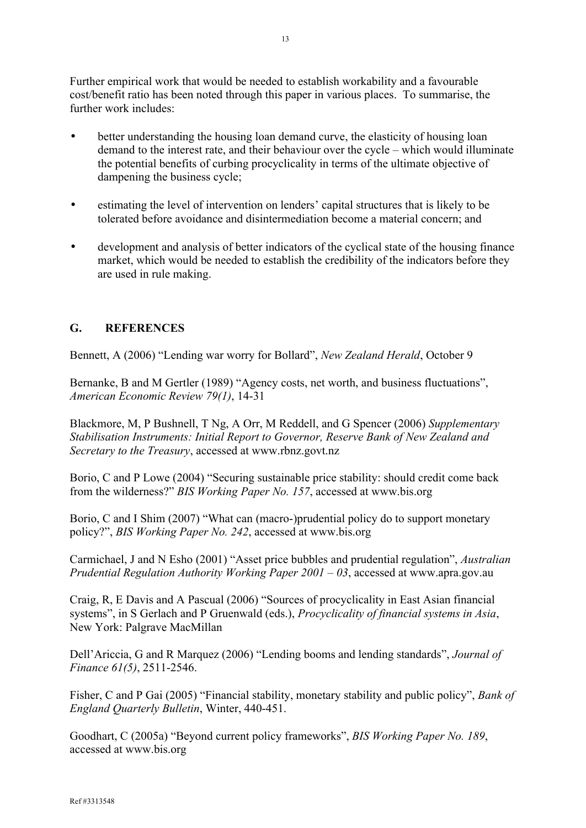Further empirical work that would be needed to establish workability and a favourable cost/benefit ratio has been noted through this paper in various places. To summarise, the further work includes:

- better understanding the housing loan demand curve, the elasticity of housing loan demand to the interest rate, and their behaviour over the cycle – which would illuminate the potential benefits of curbing procyclicality in terms of the ultimate objective of dampening the business cycle;
- estimating the level of intervention on lenders' capital structures that is likely to be tolerated before avoidance and disintermediation become a material concern; and
- development and analysis of better indicators of the cyclical state of the housing finance market, which would be needed to establish the credibility of the indicators before they are used in rule making.

# **G. REFERENCES**

Bennett, A (2006) "Lending war worry for Bollard", *New Zealand Herald*, October 9

Bernanke, B and M Gertler (1989) "Agency costs, net worth, and business fluctuations", *American Economic Review 79(1)*, 14-31

Blackmore, M, P Bushnell, T Ng, A Orr, M Reddell, and G Spencer (2006) *Supplementary Stabilisation Instruments: Initial Report to Governor, Reserve Bank of New Zealand and Secretary to the Treasury*, accessed at www.rbnz.govt.nz

Borio, C and P Lowe (2004) "Securing sustainable price stability: should credit come back from the wilderness?" *BIS Working Paper No. 157*, accessed at www.bis.org

Borio, C and I Shim (2007) "What can (macro-)prudential policy do to support monetary policy?", *BIS Working Paper No. 242*, accessed at www.bis.org

Carmichael, J and N Esho (2001) "Asset price bubbles and prudential regulation", *Australian Prudential Regulation Authority Working Paper 2001 – 03*, accessed at www.apra.gov.au

Craig, R, E Davis and A Pascual (2006) "Sources of procyclicality in East Asian financial systems", in S Gerlach and P Gruenwald (eds.), *Procyclicality of financial systems in Asia*, New York: Palgrave MacMillan

Dell'Ariccia, G and R Marquez (2006) "Lending booms and lending standards", *Journal of Finance 61(5)*, 2511-2546.

Fisher, C and P Gai (2005) "Financial stability, monetary stability and public policy", *Bank of England Quarterly Bulletin*, Winter, 440-451.

Goodhart, C (2005a) "Beyond current policy frameworks", *BIS Working Paper No. 189*, accessed at www.bis.org